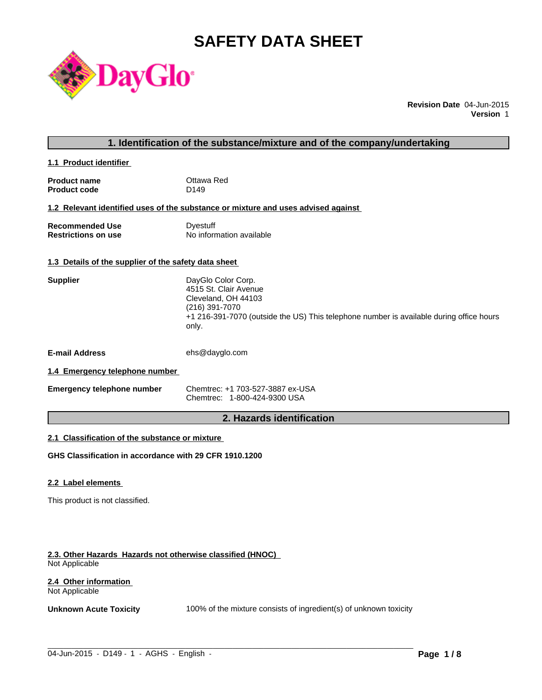# **SAFETY DATA SHEET**



**Revision Date** 04-Jun-2015 **Version** 1

### **1. Identification of the substance/mixture and of the company/undertaking**

**1.1 Product identifier** 

| <b>Product name</b> | Ottawa Red       |
|---------------------|------------------|
| <b>Product code</b> | D <sub>149</sub> |

**1.2 Relevant identified uses of the substance or mixture and uses advised against** 

**Recommended Use Commended Use Commended Use Comments** Dyestuff Restrictions on use **No information available** 

### **1.3 Details of the supplier of the safety data sheet**

| <b>Supplier</b>       | DayGlo Color Corp.<br>4515 St. Clair Avenue<br>Cleveland, OH 44103<br>(216) 391-7070<br>+1 216-391-7070 (outside the US) This telephone number is available during office hours<br>only. |
|-----------------------|------------------------------------------------------------------------------------------------------------------------------------------------------------------------------------------|
| <b>E-mail Address</b> | ehs@dayglo.com                                                                                                                                                                           |

#### **1.4 Emergency telephone number**

| <b>Emergency telephone number</b> | Chemtrec: +1 703-527-3887 ex-USA |
|-----------------------------------|----------------------------------|
|                                   | Chemtrec: 1-800-424-9300 USA     |

### **2. Hazards identification**

### **2.1 Classification of the substance or mixture**

**GHS Classification in accordance with 29 CFR 1910.1200**

#### **2.2 Label elements**

This product is not classified.

#### **2.3. Other Hazards Hazards not otherwise classified (HNOC)**  Not Applicable

#### **2.4 Other information**  Not Applicable

**Unknown Acute Toxicity** 100% of the mixture consists of ingredient(s) of unknown toxicity

 $\_$  ,  $\_$  ,  $\_$  ,  $\_$  ,  $\_$  ,  $\_$  ,  $\_$  ,  $\_$  ,  $\_$  ,  $\_$  ,  $\_$  ,  $\_$  ,  $\_$  ,  $\_$  ,  $\_$  ,  $\_$  ,  $\_$  ,  $\_$  ,  $\_$  ,  $\_$  ,  $\_$  ,  $\_$  ,  $\_$  ,  $\_$  ,  $\_$  ,  $\_$  ,  $\_$  ,  $\_$  ,  $\_$  ,  $\_$  ,  $\_$  ,  $\_$  ,  $\_$  ,  $\_$  ,  $\_$  ,  $\_$  ,  $\_$  ,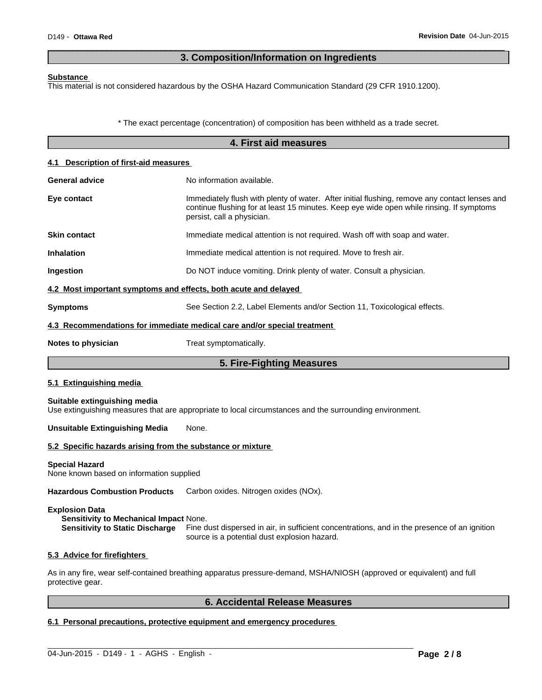### **3. Composition/Information on Ingredients**

 $\overline{\phantom{a}}$  ,  $\overline{\phantom{a}}$  ,  $\overline{\phantom{a}}$  ,  $\overline{\phantom{a}}$  ,  $\overline{\phantom{a}}$  ,  $\overline{\phantom{a}}$  ,  $\overline{\phantom{a}}$  ,  $\overline{\phantom{a}}$  ,  $\overline{\phantom{a}}$  ,  $\overline{\phantom{a}}$  ,  $\overline{\phantom{a}}$  ,  $\overline{\phantom{a}}$  ,  $\overline{\phantom{a}}$  ,  $\overline{\phantom{a}}$  ,  $\overline{\phantom{a}}$  ,  $\overline{\phantom{a}}$ 

#### **Substance**

This material is not considered hazardous by the OSHA Hazard Communication Standard (29 CFR 1910.1200).

\* The exact percentage (concentration) of composition has been withheld as a trade secret.

|                                                                   | 4. First aid measures                                                                                                                                                                                                   |  |  |  |  |
|-------------------------------------------------------------------|-------------------------------------------------------------------------------------------------------------------------------------------------------------------------------------------------------------------------|--|--|--|--|
| 4.1 Description of first-aid measures                             |                                                                                                                                                                                                                         |  |  |  |  |
| <b>General advice</b>                                             | No information available.                                                                                                                                                                                               |  |  |  |  |
| Eye contact                                                       | Immediately flush with plenty of water. After initial flushing, remove any contact lenses and<br>continue flushing for at least 15 minutes. Keep eye wide open while rinsing. If symptoms<br>persist, call a physician. |  |  |  |  |
| <b>Skin contact</b>                                               | Immediate medical attention is not required. Wash off with soap and water.                                                                                                                                              |  |  |  |  |
| <b>Inhalation</b>                                                 | Immediate medical attention is not required. Move to fresh air.                                                                                                                                                         |  |  |  |  |
| Ingestion                                                         | Do NOT induce vomiting. Drink plenty of water. Consult a physician.                                                                                                                                                     |  |  |  |  |
| 4.2 Most important symptoms and effects, both acute and delayed   |                                                                                                                                                                                                                         |  |  |  |  |
| <b>Symptoms</b>                                                   | See Section 2.2, Label Elements and/or Section 11, Toxicological effects.                                                                                                                                               |  |  |  |  |
|                                                                   | 4.3 Recommendations for immediate medical care and/or special treatment                                                                                                                                                 |  |  |  |  |
| Notes to physician                                                | Treat symptomatically.                                                                                                                                                                                                  |  |  |  |  |
|                                                                   | 5. Fire-Fighting Measures                                                                                                                                                                                               |  |  |  |  |
| 5.1 Extinguishing media                                           |                                                                                                                                                                                                                         |  |  |  |  |
| Suitable extinguishing media                                      | Use extinguishing measures that are appropriate to local circumstances and the surrounding environment.                                                                                                                 |  |  |  |  |
| <b>Unsuitable Extinguishing Media</b>                             | None.                                                                                                                                                                                                                   |  |  |  |  |
| 5.2 Specific hazards arising from the substance or mixture        |                                                                                                                                                                                                                         |  |  |  |  |
| <b>Special Hazard</b><br>None known based on information supplied |                                                                                                                                                                                                                         |  |  |  |  |
| <b>Hazardous Combustion Products</b>                              | Carbon oxides. Nitrogen oxides (NOx).                                                                                                                                                                                   |  |  |  |  |

**Explosion Data**

**Sensitivity to Mechanical Impact** None.

**Sensitivity to Static Discharge** Fine dust dispersed in air, in sufficient concentrations, and in the presence of an ignition source is a potential dust explosion hazard.

#### **5.3 Advice for firefighters**

As in any fire, wear self-contained breathing apparatus pressure-demand, MSHA/NIOSH (approved or equivalent) and full protective gear.

 $\_$  ,  $\_$  ,  $\_$  ,  $\_$  ,  $\_$  ,  $\_$  ,  $\_$  ,  $\_$  ,  $\_$  ,  $\_$  ,  $\_$  ,  $\_$  ,  $\_$  ,  $\_$  ,  $\_$  ,  $\_$  ,  $\_$  ,  $\_$  ,  $\_$  ,  $\_$  ,  $\_$  ,  $\_$  ,  $\_$  ,  $\_$  ,  $\_$  ,  $\_$  ,  $\_$  ,  $\_$  ,  $\_$  ,  $\_$  ,  $\_$  ,  $\_$  ,  $\_$  ,  $\_$  ,  $\_$  ,  $\_$  ,  $\_$  ,

### **6. Accidental Release Measures**

### **6.1 Personal precautions, protective equipment and emergency procedures**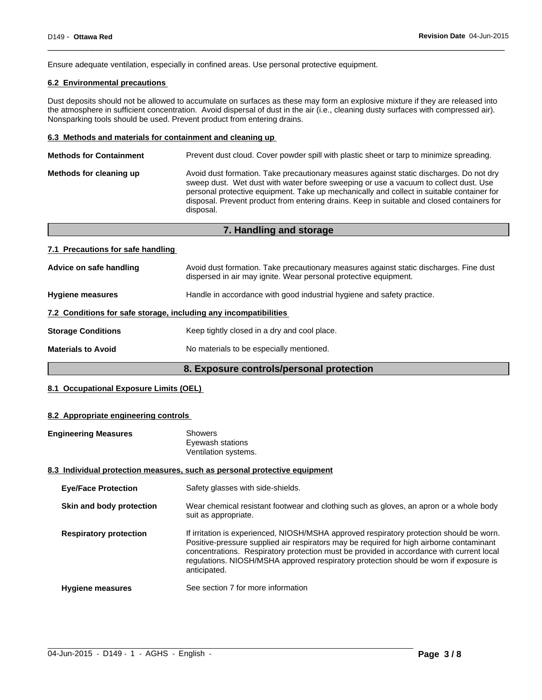Ensure adequate ventilation, especially in confined areas. Use personal protective equipment.

#### **6.2 Environmental precautions**

Dust deposits should not be allowed to accumulate on surfaces as these may form an explosive mixture if they are released into the atmosphere in sufficient concentration. Avoid dispersal of dust in the air (i.e., cleaning dusty surfaces with compressed air). Nonsparking tools should be used. Prevent product from entering drains.

 $\overline{\phantom{a}}$  ,  $\overline{\phantom{a}}$  ,  $\overline{\phantom{a}}$  ,  $\overline{\phantom{a}}$  ,  $\overline{\phantom{a}}$  ,  $\overline{\phantom{a}}$  ,  $\overline{\phantom{a}}$  ,  $\overline{\phantom{a}}$  ,  $\overline{\phantom{a}}$  ,  $\overline{\phantom{a}}$  ,  $\overline{\phantom{a}}$  ,  $\overline{\phantom{a}}$  ,  $\overline{\phantom{a}}$  ,  $\overline{\phantom{a}}$  ,  $\overline{\phantom{a}}$  ,  $\overline{\phantom{a}}$ 

#### **6.3 Methods and materials for containment and cleaning up**

| <b>Methods for Containment</b> | Prevent dust cloud. Cover powder spill with plastic sheet or tarp to minimize spreading.                                                                                                                                                                                                                                                                                                |
|--------------------------------|-----------------------------------------------------------------------------------------------------------------------------------------------------------------------------------------------------------------------------------------------------------------------------------------------------------------------------------------------------------------------------------------|
| Methods for cleaning up        | Avoid dust formation. Take precautionary measures against static discharges. Do not dry<br>sweep dust. Wet dust with water before sweeping or use a vacuum to collect dust. Use<br>personal protective equipment. Take up mechanically and collect in suitable container for<br>disposal. Prevent product from entering drains. Keep in suitable and closed containers for<br>disposal. |
|                                |                                                                                                                                                                                                                                                                                                                                                                                         |

|                                                                  | 7. Handling and storage                                                                                                                                    |
|------------------------------------------------------------------|------------------------------------------------------------------------------------------------------------------------------------------------------------|
| 7.1 Precautions for safe handling                                |                                                                                                                                                            |
| Advice on safe handling                                          | Avoid dust formation. Take precautionary measures against static discharges. Fine dust<br>dispersed in air may ignite. Wear personal protective equipment. |
| <b>Hygiene measures</b>                                          | Handle in accordance with good industrial hygiene and safety practice.                                                                                     |
| 7.2 Conditions for safe storage, including any incompatibilities |                                                                                                                                                            |
| <b>Storage Conditions</b>                                        | Keep tightly closed in a dry and cool place.                                                                                                               |
| <b>Materials to Avoid</b>                                        | No materials to be especially mentioned.                                                                                                                   |

#### **8. Exposure controls/personal protection**

#### **8.1 Occupational Exposure Limits (OEL)**

#### **8.2 Appropriate engineering controls**

| <b>Engineering Measures</b>   | <b>Showers</b><br>Eyewash stations<br>Ventilation systems.                                                                                                                                                                                                                                                                                                                                |
|-------------------------------|-------------------------------------------------------------------------------------------------------------------------------------------------------------------------------------------------------------------------------------------------------------------------------------------------------------------------------------------------------------------------------------------|
|                               | 8.3 Individual protection measures, such as personal protective equipment                                                                                                                                                                                                                                                                                                                 |
| <b>Eye/Face Protection</b>    | Safety glasses with side-shields.                                                                                                                                                                                                                                                                                                                                                         |
| Skin and body protection      | Wear chemical resistant footwear and clothing such as gloves, an apron or a whole body<br>suit as appropriate.                                                                                                                                                                                                                                                                            |
| <b>Respiratory protection</b> | If irritation is experienced, NIOSH/MSHA approved respiratory protection should be worn.<br>Positive-pressure supplied air respirators may be required for high airborne contaminant<br>concentrations. Respiratory protection must be provided in accordance with current local<br>regulations. NIOSH/MSHA approved respiratory protection should be worn if exposure is<br>anticipated. |
| <b>Hygiene measures</b>       | See section 7 for more information                                                                                                                                                                                                                                                                                                                                                        |

 $\_$  ,  $\_$  ,  $\_$  ,  $\_$  ,  $\_$  ,  $\_$  ,  $\_$  ,  $\_$  ,  $\_$  ,  $\_$  ,  $\_$  ,  $\_$  ,  $\_$  ,  $\_$  ,  $\_$  ,  $\_$  ,  $\_$  ,  $\_$  ,  $\_$  ,  $\_$  ,  $\_$  ,  $\_$  ,  $\_$  ,  $\_$  ,  $\_$  ,  $\_$  ,  $\_$  ,  $\_$  ,  $\_$  ,  $\_$  ,  $\_$  ,  $\_$  ,  $\_$  ,  $\_$  ,  $\_$  ,  $\_$  ,  $\_$  ,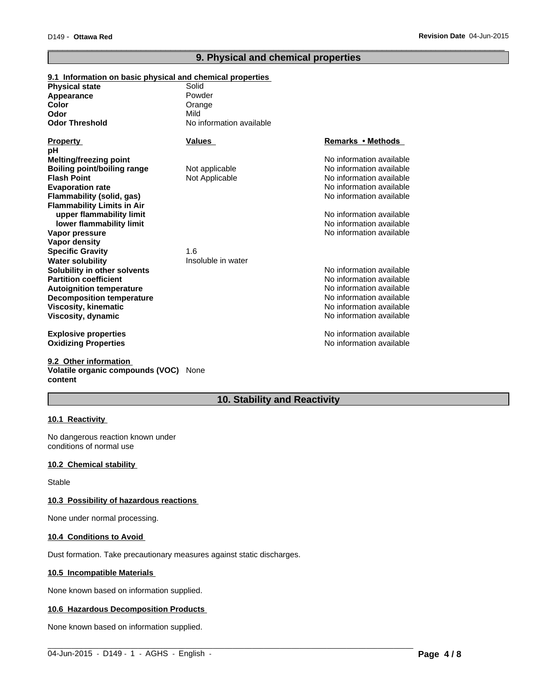### **9. Physical and chemical properties**

 $\overline{\phantom{a}}$  ,  $\overline{\phantom{a}}$  ,  $\overline{\phantom{a}}$  ,  $\overline{\phantom{a}}$  ,  $\overline{\phantom{a}}$  ,  $\overline{\phantom{a}}$  ,  $\overline{\phantom{a}}$  ,  $\overline{\phantom{a}}$  ,  $\overline{\phantom{a}}$  ,  $\overline{\phantom{a}}$  ,  $\overline{\phantom{a}}$  ,  $\overline{\phantom{a}}$  ,  $\overline{\phantom{a}}$  ,  $\overline{\phantom{a}}$  ,  $\overline{\phantom{a}}$  ,  $\overline{\phantom{a}}$ 

#### **9.2 Other information Volatile organic compounds (VOC)** None **content**

### **10. Stability and Reactivity**

 $\_$  ,  $\_$  ,  $\_$  ,  $\_$  ,  $\_$  ,  $\_$  ,  $\_$  ,  $\_$  ,  $\_$  ,  $\_$  ,  $\_$  ,  $\_$  ,  $\_$  ,  $\_$  ,  $\_$  ,  $\_$  ,  $\_$  ,  $\_$  ,  $\_$  ,  $\_$  ,  $\_$  ,  $\_$  ,  $\_$  ,  $\_$  ,  $\_$  ,  $\_$  ,  $\_$  ,  $\_$  ,  $\_$  ,  $\_$  ,  $\_$  ,  $\_$  ,  $\_$  ,  $\_$  ,  $\_$  ,  $\_$  ,  $\_$  ,

#### **10.1 Reactivity**

No dangerous reaction known under conditions of normal use

#### **10.2 Chemical stability**

Stable

#### **10.3 Possibility of hazardous reactions**

None under normal processing.

#### **10.4 Conditions to Avoid**

Dust formation. Take precautionary measures against static discharges.

#### **10.5 Incompatible Materials**

None known based on information supplied.

#### **10.6 Hazardous Decomposition Products**

None known based on information supplied.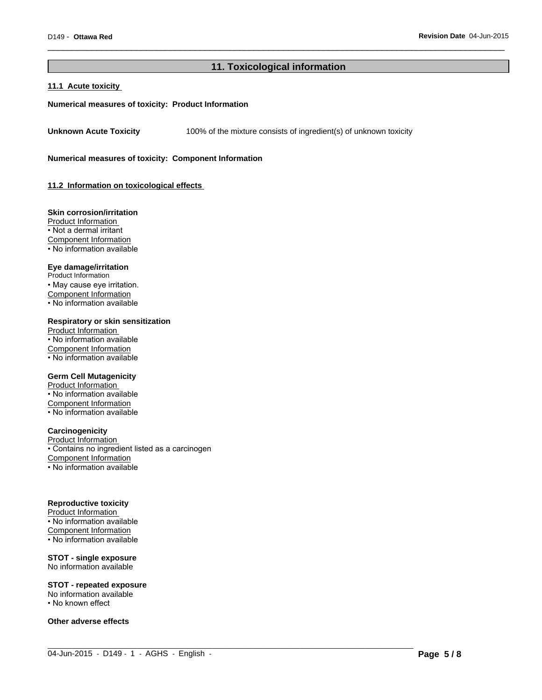#### **11. Toxicological information**

 $\_$  ,  $\_$  ,  $\_$  ,  $\_$  ,  $\_$  ,  $\_$  ,  $\_$  ,  $\_$  ,  $\_$  ,  $\_$  ,  $\_$  ,  $\_$  ,  $\_$  ,  $\_$  ,  $\_$  ,  $\_$  ,  $\_$  ,  $\_$  ,  $\_$  ,  $\_$  ,  $\_$  ,  $\_$  ,  $\_$  ,  $\_$  ,  $\_$  ,  $\_$  ,  $\_$  ,  $\_$  ,  $\_$  ,  $\_$  ,  $\_$  ,  $\_$  ,  $\_$  ,  $\_$  ,  $\_$  ,  $\_$  ,  $\_$  ,

 $\overline{\phantom{a}}$  ,  $\overline{\phantom{a}}$  ,  $\overline{\phantom{a}}$  ,  $\overline{\phantom{a}}$  ,  $\overline{\phantom{a}}$  ,  $\overline{\phantom{a}}$  ,  $\overline{\phantom{a}}$  ,  $\overline{\phantom{a}}$  ,  $\overline{\phantom{a}}$  ,  $\overline{\phantom{a}}$  ,  $\overline{\phantom{a}}$  ,  $\overline{\phantom{a}}$  ,  $\overline{\phantom{a}}$  ,  $\overline{\phantom{a}}$  ,  $\overline{\phantom{a}}$  ,  $\overline{\phantom{a}}$ 

#### **11.1 Acute toxicity**

#### **Numerical measures of toxicity: Product Information**

**Unknown Acute Toxicity** 100% of the mixture consists of ingredient(s) of unknown toxicity

**Numerical measures of toxicity: Component Information**

**11.2 Information on toxicological effects** 

#### **Skin corrosion/irritation**

Product Information • Not a dermal irritant Component Information • No information available

#### **Eye damage/irritation**

Product Information • May cause eye irritation. Component Information • No information available

#### **Respiratory or skin sensitization**

Product Information • No information available Component Information • No information available

#### **Germ Cell Mutagenicity**

Product Information • No information available Component Information • No information available

#### **Carcinogenicity**

Product Information • Contains no ingredient listed as a carcinogen Component Information • No information available

#### **Reproductive toxicity**

Product Information • No information available Component Information  $\cdot$  No information available

### **STOT - single exposure**

No information available

#### **STOT - repeated exposure**

No information available • No known effect

**Other adverse effects**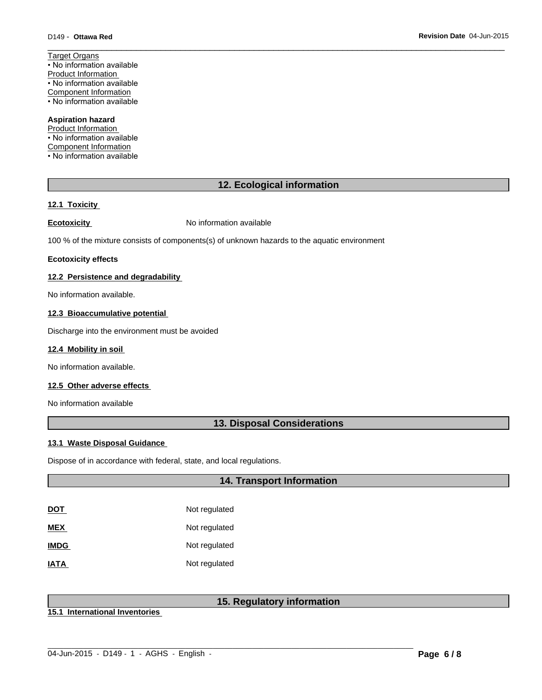Target Organs • No information available Product Information • No information available Component Information • No information available

#### **Aspiration hazard**

Product Information • No information available Component Information • No information available

### **12. Ecological information**

 $\overline{\phantom{a}}$  ,  $\overline{\phantom{a}}$  ,  $\overline{\phantom{a}}$  ,  $\overline{\phantom{a}}$  ,  $\overline{\phantom{a}}$  ,  $\overline{\phantom{a}}$  ,  $\overline{\phantom{a}}$  ,  $\overline{\phantom{a}}$  ,  $\overline{\phantom{a}}$  ,  $\overline{\phantom{a}}$  ,  $\overline{\phantom{a}}$  ,  $\overline{\phantom{a}}$  ,  $\overline{\phantom{a}}$  ,  $\overline{\phantom{a}}$  ,  $\overline{\phantom{a}}$  ,  $\overline{\phantom{a}}$ 

#### **12.1 Toxicity**

**Ecotoxicity No information available** 

100 % of the mixture consists of components(s) of unknown hazards to the aquatic environment

#### **Ecotoxicity effects**

#### **12.2 Persistence and degradability**

No information available.

#### **12.3 Bioaccumulative potential**

Discharge into the environment must be avoided

#### **12.4 Mobility in soil**

No information available.

### **12.5 Other adverse effects**

No information available

### **13. Disposal Considerations**

#### **13.1 Waste Disposal Guidance**

Dispose of in accordance with federal, state, and local regulations.

### **14. Transport Information**

| DOT         | Not regulated |
|-------------|---------------|
| <b>MEX</b>  | Not regulated |
| <b>IMDG</b> | Not regulated |
| <b>IATA</b> | Not regulated |

### **15. Regulatory information**

 $\_$  ,  $\_$  ,  $\_$  ,  $\_$  ,  $\_$  ,  $\_$  ,  $\_$  ,  $\_$  ,  $\_$  ,  $\_$  ,  $\_$  ,  $\_$  ,  $\_$  ,  $\_$  ,  $\_$  ,  $\_$  ,  $\_$  ,  $\_$  ,  $\_$  ,  $\_$  ,  $\_$  ,  $\_$  ,  $\_$  ,  $\_$  ,  $\_$  ,  $\_$  ,  $\_$  ,  $\_$  ,  $\_$  ,  $\_$  ,  $\_$  ,  $\_$  ,  $\_$  ,  $\_$  ,  $\_$  ,  $\_$  ,  $\_$  ,

**15.1 International Inventories**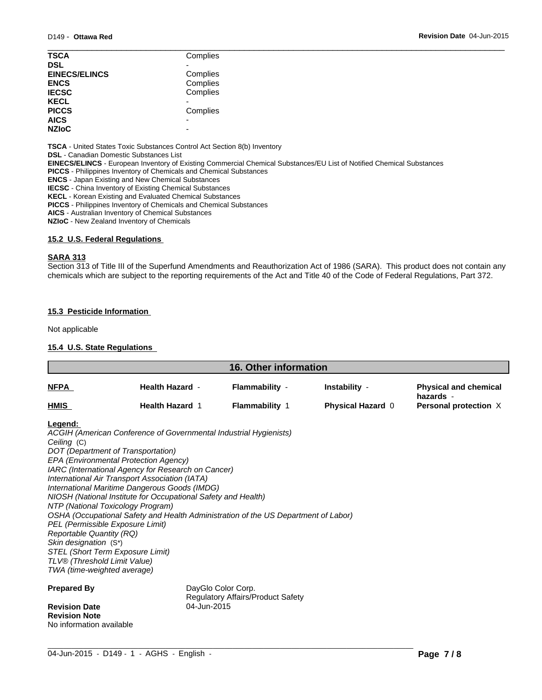| <b>TSCA</b>          | Complies |
|----------------------|----------|
| <b>DSL</b>           |          |
| <b>EINECS/ELINCS</b> | Complies |
| <b>ENCS</b>          | Complies |
| <b>IECSC</b>         | Complies |
| <b>KECL</b>          |          |
| <b>PICCS</b>         | Complies |
| <b>AICS</b>          |          |
| <b>NZIoC</b>         |          |
|                      |          |

**TSCA** - United States Toxic Substances Control Act Section 8(b) Inventory

**DSL** - Canadian Domestic Substances List

**EINECS/ELINCS** - European Inventory of Existing Commercial Chemical Substances/EU List of Notified Chemical Substances

**PICCS** - Philippines Inventory of Chemicals and Chemical Substances

**ENCS** - Japan Existing and New Chemical Substances

**IECSC** - China Inventory of Existing Chemical Substances

**KECL** - Korean Existing and Evaluated Chemical Substances

**PICCS** - Philippines Inventory of Chemicals and Chemical Substances

**AICS** - Australian Inventory of Chemical Substances

**NZIoC** - New Zealand Inventory of Chemicals

#### **15.2 U.S. Federal Regulations**

#### **SARA 313**

Section 313 of Title III of the Superfund Amendments and Reauthorization Act of 1986 (SARA). This product does not contain any chemicals which are subject to the reporting requirements of the Act and Title 40 of the Code of Federal Regulations, Part 372.

#### **15.3 Pesticide Information**

Not applicable

#### **15.4 U.S. State Regulations**

|                                 |                                                                                                                | <b>16. Other information</b>      |                          |                                           |
|---------------------------------|----------------------------------------------------------------------------------------------------------------|-----------------------------------|--------------------------|-------------------------------------------|
| <u>NFPA</u>                     | <b>Health Hazard -</b>                                                                                         | <b>Flammability -</b>             | Instability -            | <b>Physical and chemical</b><br>hazards - |
| <b>HMIS</b>                     | <b>Health Hazard 1</b>                                                                                         | <b>Flammability 1</b>             | <b>Physical Hazard 0</b> | Personal protection X                     |
| Legend:                         |                                                                                                                |                                   |                          |                                           |
|                                 | ACGIH (American Conference of Governmental Industrial Hygienists)                                              |                                   |                          |                                           |
| Ceiling (C)                     |                                                                                                                |                                   |                          |                                           |
|                                 | DOT (Department of Transportation)                                                                             |                                   |                          |                                           |
|                                 | EPA (Environmental Protection Agency)                                                                          |                                   |                          |                                           |
|                                 | IARC (International Agency for Research on Cancer)                                                             |                                   |                          |                                           |
|                                 | International Air Transport Association (IATA)                                                                 |                                   |                          |                                           |
|                                 | International Maritime Dangerous Goods (IMDG)<br>NIOSH (National Institute for Occupational Safety and Health) |                                   |                          |                                           |
|                                 | NTP (National Toxicology Program)                                                                              |                                   |                          |                                           |
|                                 | OSHA (Occupational Safety and Health Administration of the US Department of Labor)                             |                                   |                          |                                           |
|                                 | PEL (Permissible Exposure Limit)                                                                               |                                   |                          |                                           |
| <b>Reportable Quantity (RQ)</b> |                                                                                                                |                                   |                          |                                           |
| Skin designation (S*)           |                                                                                                                |                                   |                          |                                           |
|                                 | STEL (Short Term Exposure Limit)                                                                               |                                   |                          |                                           |
| TLV® (Threshold Limit Value)    |                                                                                                                |                                   |                          |                                           |
| TWA (time-weighted average)     |                                                                                                                |                                   |                          |                                           |
| <b>Prepared By</b>              |                                                                                                                | DayGlo Color Corp.                |                          |                                           |
|                                 |                                                                                                                | Regulatory Affairs/Product Safety |                          |                                           |
| <b>Revision Date</b>            | 04-Jun-2015                                                                                                    |                                   |                          |                                           |
| <b>Revision Note</b>            |                                                                                                                |                                   |                          |                                           |

 $\_$  ,  $\_$  ,  $\_$  ,  $\_$  ,  $\_$  ,  $\_$  ,  $\_$  ,  $\_$  ,  $\_$  ,  $\_$  ,  $\_$  ,  $\_$  ,  $\_$  ,  $\_$  ,  $\_$  ,  $\_$  ,  $\_$  ,  $\_$  ,  $\_$  ,  $\_$  ,  $\_$  ,  $\_$  ,  $\_$  ,  $\_$  ,  $\_$  ,  $\_$  ,  $\_$  ,  $\_$  ,  $\_$  ,  $\_$  ,  $\_$  ,  $\_$  ,  $\_$  ,  $\_$  ,  $\_$  ,  $\_$  ,  $\_$  ,

No information available